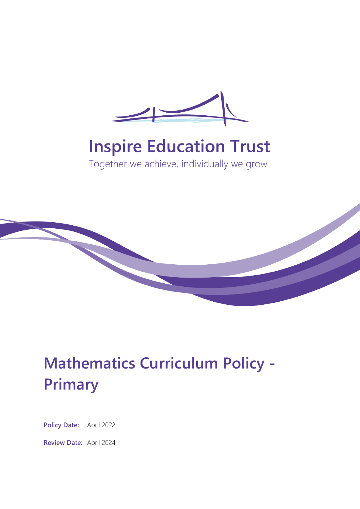

# **Inspire Education Trust**

Together we achieve, individually we grow



# **Mathematics Curriculum Policy - Primary**

**Policy Date:** April 2022

**Review Date:** April 2024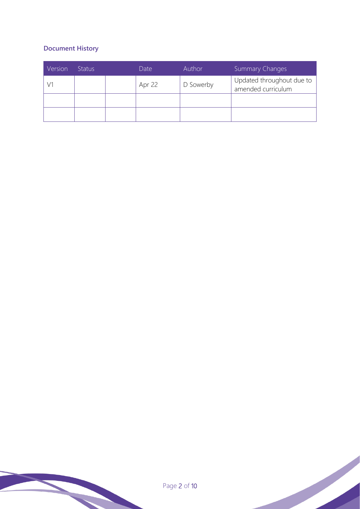## **Document History**

| Version | <b>Status</b> | Date   | Author    | <b>Summary Changes</b>                          |
|---------|---------------|--------|-----------|-------------------------------------------------|
|         |               | Apr 22 | D Sowerby | Updated throughout due to<br>amended curriculum |
|         |               |        |           |                                                 |
|         |               |        |           |                                                 |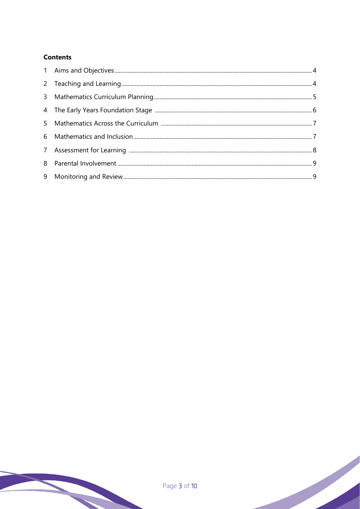## **Contents**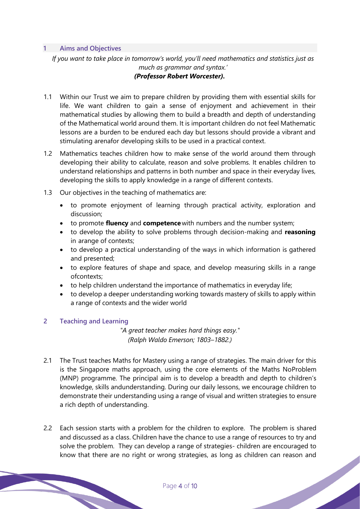#### **1 Aims and Objectives**

*If you want to take place in tomorrow's world, you'll need mathematics and statistics just as much as grammar and syntax.' (Professor Robert Worcester).*

- 1.1 Within our Trust we aim to prepare children by providing them with essential skills for life. We want children to gain a sense of enjoyment and achievement in their mathematical studies by allowing them to build a breadth and depth of understanding of the Mathematical world around them. It is important children do not feel Mathematic lessons are a burden to be endured each day but lessons should provide a vibrant and stimulating arenafor developing skills to be used in a practical context.
- 1.2 Mathematics teaches children how to make sense of the world around them through developing their ability to calculate, reason and solve problems. It enables children to understand relationships and patterns in both number and space in their everyday lives, developing the skills to apply knowledge in a range of different contexts.
- 1.3 Our objectives in the teaching of mathematics are:
	- to promote enjoyment of learning through practical activity, exploration and discussion;
	- to promote **fluency** and **competence**with numbers and the number system;
	- to develop the ability to solve problems through decision-making and **reasoning** in arange of contexts;
	- to develop a practical understanding of the ways in which information is gathered and presented;
	- to explore features of shape and space, and develop measuring skills in a range ofcontexts;
	- to help children understand the importance of mathematics in everyday life;
	- to develop a deeper understanding working towards mastery of skills to apply within a range of contexts and the wider world

### **2 Teaching and Learning**

*"A great teacher makes hard things easy." (Ralph Waldo Emerson; 1803–1882.)*

- 2.1 The Trust teaches Maths for Mastery using a range of strategies. The main driver for this is the Singapore maths approach, using the core elements of the Maths NoProblem (MNP) programme. The principal aim is to develop a breadth and depth to children's knowledge, skills andunderstanding. During our daily lessons, we encourage children to demonstrate their understanding using a range of visual and written strategies to ensure a rich depth of understanding.
- 2.2 Each session starts with a problem for the children to explore. The problem is shared and discussed as a class. Children have the chance to use a range of resources to try and solve the problem. They can develop a range of strategies- children are encouraged to know that there are no right or wrong strategies, as long as children can reason and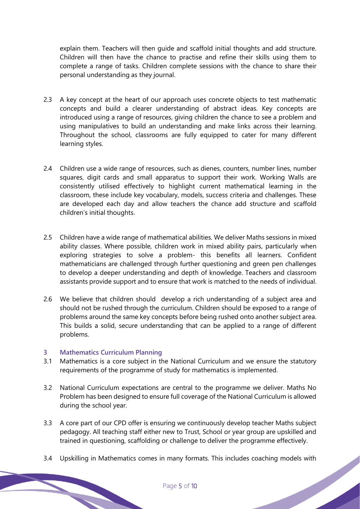explain them. Teachers will then guide and scaffold initial thoughts and add structure. Children will then have the chance to practise and refine their skills using them to complete a range of tasks. Children complete sessions with the chance to share their personal understanding as they journal.

- 2.3 A key concept at the heart of our approach uses concrete objects to test mathematic concepts and build a clearer understanding of abstract ideas. Key concepts are introduced using a range of resources, giving children the chance to see a problem and using manipulatives to build an understanding and make links across their learning. Throughout the school, classrooms are fully equipped to cater for many different learning styles.
- 2.4 Children use a wide range of resources, such as dienes, counters, number lines, number squares, digit cards and small apparatus to support their work. Working Walls are consistently utilised effectively to highlight current mathematical learning in the classroom, these include key vocabulary, models, success criteria and challenges. These are developed each day and allow teachers the chance add structure and scaffold children's initial thoughts.
- 2.5 Children have a wide range of mathematical abilities. We deliver Maths sessions in mixed ability classes. Where possible, children work in mixed ability pairs, particularly when exploring strategies to solve a problem- this benefits all learners. Confident mathematicians are challenged through further questioning and green pen challenges to develop a deeper understanding and depth of knowledge. Teachers and classroom assistants provide support and to ensure that work is matched to the needs of individual.
- 2.6 We believe that children should develop a rich understanding of a subject area and should not be rushed through the curriculum. Children should be exposed to a range of problems around the same key concepts before being rushed onto another subject area. This builds a solid, secure understanding that can be applied to a range of different problems.

#### **3 Mathematics Curriculum Planning**

- 3.1 Mathematics is a core subject in the National Curriculum and we ensure the statutory requirements of the programme of study for mathematics is implemented.
- 3.2 National Curriculum expectations are central to the programme we deliver. Maths No Problem has been designed to ensure full coverage of the National Curriculum is allowed during the school year.
- 3.3 A core part of our CPD offer is ensuring we continuously develop teacher Maths subject pedagogy. All teaching staff either new to Trust, School or year group are upskilled and trained in questioning, scaffolding or challenge to deliver the programme effectively.
- 3.4 Upskilling in Mathematics comes in many formats. This includes coaching models with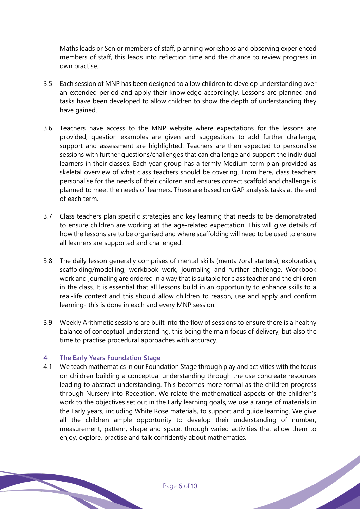Maths leads or Senior members of staff, planning workshops and observing experienced members of staff, this leads into reflection time and the chance to review progress in own practise.

- 3.5 Each session of MNP has been designed to allow children to develop understanding over an extended period and apply their knowledge accordingly. Lessons are planned and tasks have been developed to allow children to show the depth of understanding they have gained.
- 3.6 Teachers have access to the MNP website where expectations for the lessons are provided, question examples are given and suggestions to add further challenge, support and assessment are highlighted. Teachers are then expected to personalise sessions with further questions/challenges that can challenge and support the individual learners in their classes. Each year group has a termly Medium term plan provided as skeletal overview of what class teachers should be covering. From here, class teachers personalise for the needs of their children and ensures correct scaffold and challenge is planned to meet the needs of learners. These are based on GAP analysis tasks at the end of each term.
- 3.7 Class teachers plan specific strategies and key learning that needs to be demonstrated to ensure children are working at the age-related expectation. This will give details of how the lessons are to be organised and where scaffolding will need to be used to ensure all learners are supported and challenged.
- 3.8 The daily lesson generally comprises of mental skills (mental/oral starters), exploration, scaffolding/modelling, workbook work, journaling and further challenge. Workbook work and journaling are ordered in a way that is suitable for class teacher and the children in the class. It is essential that all lessons build in an opportunity to enhance skills to a real-life context and this should allow children to reason, use and apply and confirm learning- this is done in each and every MNP session.
- 3.9 Weekly Arithmetic sessions are built into the flow of sessions to ensure there is a healthy balance of conceptual understanding, this being the main focus of delivery, but also the time to practise procedural approaches with accuracy.

#### **4 The Early Years Foundation Stage**

4.1 We teach mathematics in our Foundation Stage through play and activities with the focus on children building a conceptual understanding through the use concreate resources leading to abstract understanding. This becomes more formal as the children progress through Nursery into Reception. We relate the mathematical aspects of the children's work to the objectives set out in the Early learning goals, we use a range of materials in the Early years, including White Rose materials, to support and guide learning. We give all the children ample opportunity to develop their understanding of number, measurement, pattern, shape and space, through varied activities that allow them to enjoy, explore, practise and talk confidently about mathematics.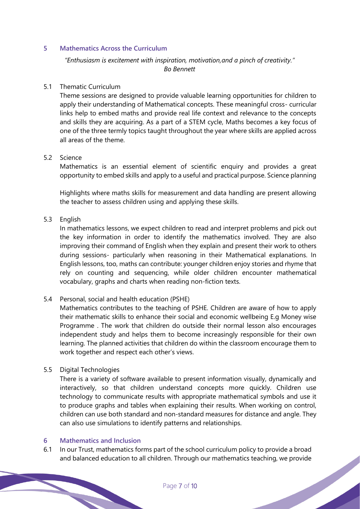#### **5 Mathematics Across the Curriculum**

## *"Enthusiasm is excitement with inspiration, motivation,and a pinch of creativity." Bo Bennett*

#### 5.1 Thematic Curriculum

Theme sessions are designed to provide valuable learning opportunities for children to apply their understanding of Mathematical concepts. These meaningful cross- curricular links help to embed maths and provide real life context and relevance to the concepts and skills they are acquiring. As a part of a STEM cycle, Maths becomes a key focus of one of the three termly topics taught throughout the year where skills are applied across all areas of the theme.

#### 5.2 Science

Mathematics is an essential element of scientific enquiry and provides a great opportunity to embed skills and apply to a useful and practical purpose. Science planning

Highlights where maths skills for measurement and data handling are present allowing the teacher to assess children using and applying these skills.

#### 5.3 English

In mathematics lessons, we expect children to read and interpret problems and pick out the key information in order to identify the mathematics involved. They are also improving their command of English when they explain and present their work to others during sessions- particularly when reasoning in their Mathematical explanations. In English lessons, too, maths can contribute: younger children enjoy stories and rhyme that rely on counting and sequencing, while older children encounter mathematical vocabulary, graphs and charts when reading non-fiction texts.

### 5.4 Personal, social and health education (PSHE)

Mathematics contributes to the teaching of PSHE. Children are aware of how to apply their mathematic skills to enhance their social and economic wellbeing E.g Money wise Programme . The work that children do outside their normal lesson also encourages independent study and helps them to become increasingly responsible for their own learning. The planned activities that children do within the classroom encourage them to work together and respect each other's views.

#### 5.5 Digital Technologies

There is a variety of software available to present information visually, dynamically and interactively, so that children understand concepts more quickly. Children use technology to communicate results with appropriate mathematical symbols and use it to produce graphs and tables when explaining their results. When working on control, children can use both standard and non-standard measures for distance and angle. They can also use simulations to identify patterns and relationships.

#### **6 Mathematics and Inclusion**

6.1 In our Trust, mathematics forms part of the school curriculum policy to provide a broad and balanced education to all children. Through our mathematics teaching, we provide<br>
Page 7 of 10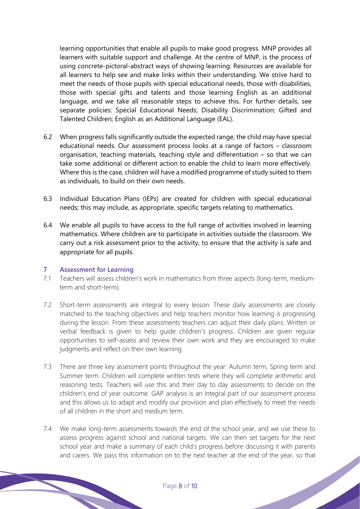learning opportunities that enable all pupils to make good progress. MNP provides all learners with suitable support and challenge. At the centre of MNP, is the process of using concrete-pictoral-abstract ways of showing learning. Resources are available for all learners to help see and make links within their understanding. We strive hard to meet the needs of those pupils with special educational needs, those with disabilities, those with special gifts and talents and those learning English as an additional language, and we take all reasonable steps to achieve this. For further details, see separate policies: Special Educational Needs; Disability Discrimination; Gifted and Talented Children; English as an Additional Language (EAL).

- 6.2 When progress falls significantly outside the expected range, the child may have special educational needs. Our assessment process looks at a range of factors – classroom organisation, teaching materials, teaching style and differentiation – so that we can take some additional or different action to enable the child to learn more effectively. Where this is the case, children will have a modified programme of study suited to them as individuals, to build on their own needs.
- 6.3 Individual Education Plans (IEPs) are created for children with special educational needs; this may include, as appropriate, specific targets relating to mathematics.
- 6.4 We enable all pupils to have access to the full range of activities involved in learning mathematics. Where children are to participate in activities outside the classroom. We carry out a risk assessment prior to the activity, to ensure that the activity is safe and appropriate for all pupils.

#### **7 Assessment for Learning**

- 7.1 Teachers will assess children's work in mathematics from three aspects (long-term, mediumterm and short-term).
- 7.2 Short-term assessments are integral to every lesson. These daily assessments are closely matched to the teaching objectives and help teachers monitor how learning is progressing during the lesson. From these assessments teachers can adjust their daily plans. Written or verbal feedback is given to help guide children's progress. Children are given regular opportunities to self-assess and review their own work and they are encouraged to make judgments and reflect on their own learning.
- 7.3 There are three key assessment points throughout the year: Autumn term, Spring term and Summer term. Children will complete written tests where they will complete arithmetic and reasoning tests. Teachers will use this and their day to day assessments to decide on the children's end of year outcome. GAP analysis is an integral part of our assessment process and this allows us to adapt and modify our provision and plan effectively to meet the needs of all children in the short and medium term.
- 7.4 We make long-term assessments towards the end of the school year, and we use these to assess progress against school and national targets. We can then set targets for the next school year and make a summary of each child's progress before discussing it with parents and carers. We pass this information on to the next teacher at the end of the year, so that<br>
Page 8 of 10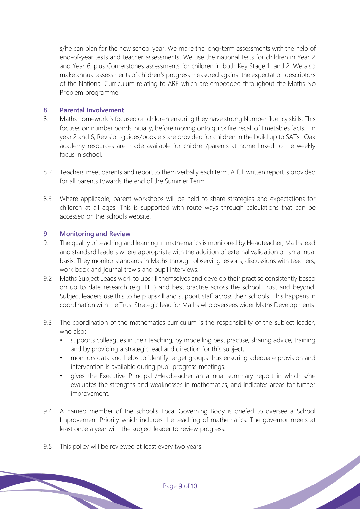s/he can plan for the new school year. We make the long-term assessments with the help of end-of-year tests and teacher assessments. We use the national tests for children in Year 2 and Year 6, plus Cornerstones assessments for children in both Key Stage 1 and 2. We also make annual assessments of children's progress measured against the expectation descriptors of the National Curriculum relating to ARE which are embedded throughout the Maths No Problem programme.

#### **8 Parental Involvement**

- 8.1 Maths homework is focused on children ensuring they have strong Number fluency skills. This focuses on number bonds initially, before moving onto quick fire recall of timetables facts. In year 2 and 6, Revision guides/booklets are provided for children in the build up to SATs. Oak academy resources are made available for children/parents at home linked to the weekly focus in school.
- 8.2 Teachers meet parents and report to them verbally each term. A full written report is provided for all parents towards the end of the Summer Term.
- 8.3 Where applicable, parent workshops will be held to share strategies and expectations for children at all ages. This is supported with route ways through calculations that can be accessed on the schools website.

#### **9 Monitoring and Review**

- 9.1 The quality of teaching and learning in mathematics is monitored by Headteacher, Maths lead and standard leaders where appropriate with the addition of external validation on an annual basis. They monitor standards in Maths through observing lessons, discussions with teachers, work book and journal trawls and pupil interviews.
- 9.2 Maths Subject Leads work to upskill themselves and develop their practise consistently based on up to date research (e.g. EEF) and best practise across the school Trust and beyond. Subject leaders use this to help upskill and support staff across their schools. This happens in coordination with the Trust Strategic lead for Maths who oversees wider Maths Developments.
- 9.3 The coordination of the mathematics curriculum is the responsibility of the subject leader, who also:
	- supports colleagues in their teaching, by modelling best practise, sharing advice, training and by providing a strategic lead and direction for this subject;
	- monitors data and helps to identify target groups thus ensuring adequate provision and intervention is available during pupil progress meetings.
	- gives the Executive Principal /Headteacher an annual summary report in which s/he evaluates the strengths and weaknesses in mathematics, and indicates areas for further improvement.
- 9.4 A named member of the school's Local Governing Body is briefed to oversee a School Improvement Priority which includes the teaching of mathematics. The governor meets at least once a year with the subject leader to review progress.
- 9.5 This policy will be reviewed at least every two years.